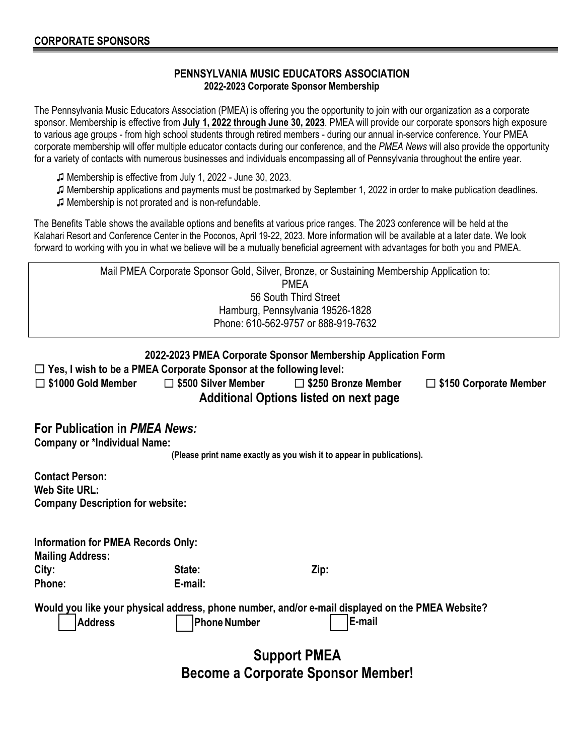## **PENNSYLVANIA MUSIC EDUCATORS ASSOCIATION 202**2**-202**3 **Corporate Sponsor Membership**

The Pennsylvania Music Educators Association (PMEA) is offering you the opportunity to join with our organization as a corporate sponsor. Membership is effective from **July 1, 202**2 **through June 30, 202**3. PMEA will provide our corporate sponsors high exposure to various age groups - from high school students through retired members - during our annual in-service conference. Your PMEA corporate membership will offer multiple educator contacts during our conference, and the *PMEA News* will also provide the opportunity for a variety of contacts with numerous businesses and individuals encompassing all of Pennsylvania throughout the entire year.

- ♫ Membership is effective from July 1, 2022 June 30, 2023.
- ♫ Membership applications and payments must be postmarked by September 1, 2022 in order to make publication deadlines.
- ♫ Membership is not prorated and is non-refundable.

The Benefits Table shows the available options and benefits at various price ranges. The 2023 conference will be held at the Kalahari Resort and Conference Center in the Poconos, April 19-22, 2023. More information will be available at a later date. We look forward to working with you in what we believe will be a mutually beneficial agreement with advantages for both you and PMEA.

|                                                                                                                                           |                            | Mail PMEA Corporate Sponsor Gold, Silver, Bronze, or Sustaining Membership Application to:<br><b>PMEA</b> |  |  |  |
|-------------------------------------------------------------------------------------------------------------------------------------------|----------------------------|-----------------------------------------------------------------------------------------------------------|--|--|--|
|                                                                                                                                           |                            | 56 South Third Street                                                                                     |  |  |  |
|                                                                                                                                           |                            | Hamburg, Pennsylvania 19526-1828                                                                          |  |  |  |
|                                                                                                                                           |                            | Phone: 610-562-9757 or 888-919-7632                                                                       |  |  |  |
|                                                                                                                                           |                            |                                                                                                           |  |  |  |
| 2022-2023 PMEA Corporate Sponsor Membership Application Form<br>$\Box$ Yes, I wish to be a PMEA Corporate Sponsor at the following level: |                            |                                                                                                           |  |  |  |
|                                                                                                                                           |                            |                                                                                                           |  |  |  |
| \$1000 Gold Member                                                                                                                        | $\Box$ \$500 Silver Member | □ \$250 Bronze Member<br>$\Box$ \$150 Corporate Member                                                    |  |  |  |
| <b>Additional Options listed on next page</b>                                                                                             |                            |                                                                                                           |  |  |  |
| For Publication in PMEA News:                                                                                                             |                            |                                                                                                           |  |  |  |
| <b>Company or *Individual Name:</b>                                                                                                       |                            |                                                                                                           |  |  |  |
|                                                                                                                                           |                            | (Please print name exactly as you wish it to appear in publications).                                     |  |  |  |
|                                                                                                                                           |                            |                                                                                                           |  |  |  |
| <b>Contact Person:</b>                                                                                                                    |                            |                                                                                                           |  |  |  |
| <b>Web Site URL:</b>                                                                                                                      |                            |                                                                                                           |  |  |  |
| <b>Company Description for website:</b>                                                                                                   |                            |                                                                                                           |  |  |  |
|                                                                                                                                           |                            |                                                                                                           |  |  |  |
| <b>Information for PMEA Records Only:</b>                                                                                                 |                            |                                                                                                           |  |  |  |
| <b>Mailing Address:</b>                                                                                                                   |                            |                                                                                                           |  |  |  |
| City:                                                                                                                                     | State:                     | Zip:                                                                                                      |  |  |  |
| Phone:                                                                                                                                    | E-mail:                    |                                                                                                           |  |  |  |
|                                                                                                                                           |                            | Would you like your physical address, phone number, and/or e-mail displayed on the PMEA Website?          |  |  |  |
| <b>Address</b>                                                                                                                            | <b>Phone Number</b>        | E-mail                                                                                                    |  |  |  |
|                                                                                                                                           |                            |                                                                                                           |  |  |  |
| <b>Support PMEA</b>                                                                                                                       |                            |                                                                                                           |  |  |  |
|                                                                                                                                           |                            |                                                                                                           |  |  |  |
| <b>Become a Corporate Sponsor Member!</b>                                                                                                 |                            |                                                                                                           |  |  |  |